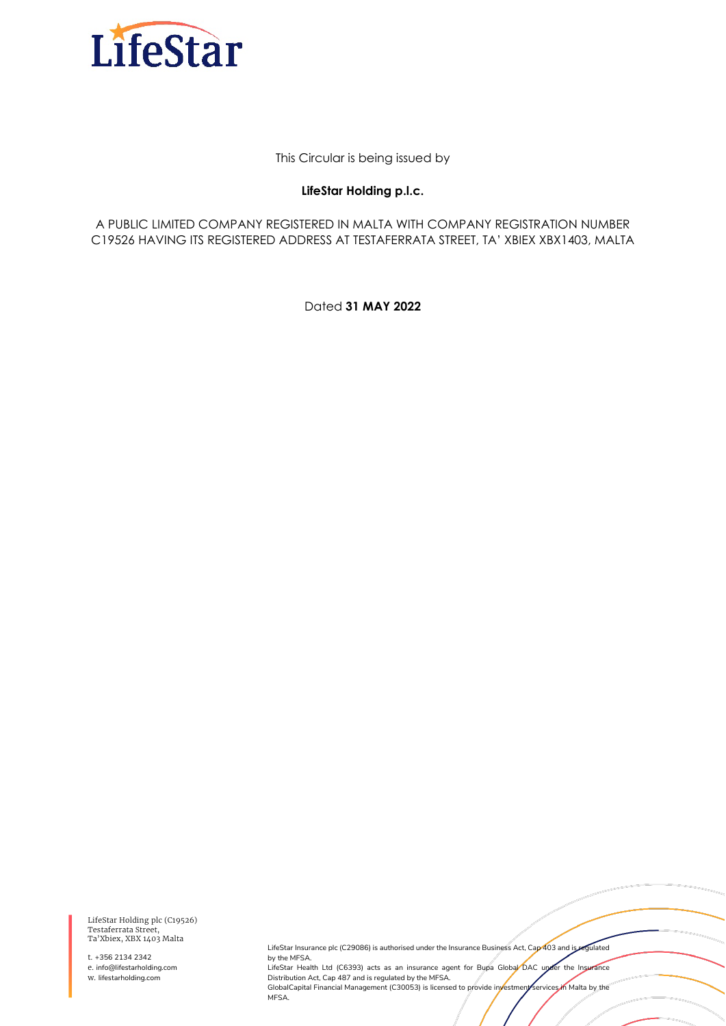

This Circular is being issued by

#### **LifeStar Holding p.l.c.**

A PUBLIC LIMITED COMPANY REGISTERED IN MALTA WITH COMPANY REGISTRATION NUMBER C19526 HAVING ITS REGISTERED ADDRESS AT TESTAFERRATA STREET, TA' XBIEX XBX1403, MALTA

Dated **31 MAY 2022**

LifeStar Holding plc (C19526) Testaferrata Street, Ta'Xbiex, XBX 1403 Malta

t. +356 2134 2342 e. info@lifestarholding.com w. lifestarholding.com

LifeStar Insurance plc (C29086) is authorised under the Insurance Business Act, Cap 403 and is regulated by the MFSA.

LifeStar Health Ltd (C6393) acts as an insurance agent for Bupa Global DAC under the Insurance Distribution Act, Cap 487 and is regulated by the MFSA. GlobalCapital Financial Management (C30053) is licensed to provide investment services in Malta by the MFSA.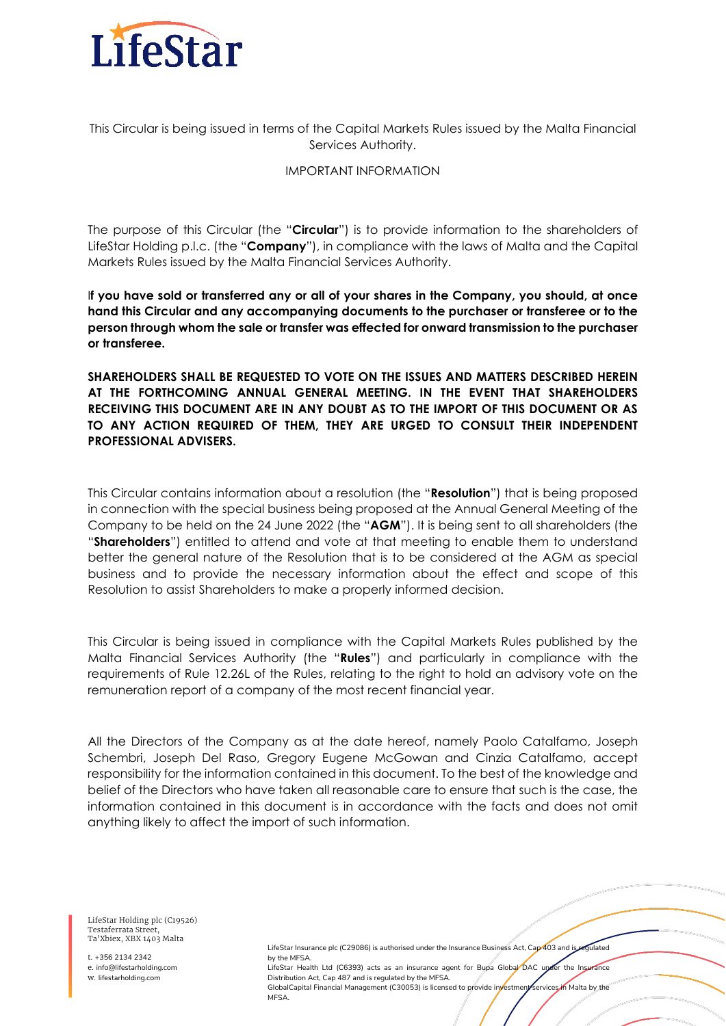

This Circular is being issued in terms of the Capital Markets Rules issued by the Malta Financial Services Authority.

#### IMPORTANT INFORMATION

The purpose of this Circular (the "**Circular**") is to provide information to the shareholders of LifeStar Holding p.l.c. (the "**Company**"), in compliance with the laws of Malta and the Capital Markets Rules issued by the Malta Financial Services Authority.

I**f you have sold or transferred any or all of your shares in the Company, you should, at once hand this Circular and any accompanying documents to the purchaser or transferee or to the person through whom the sale or transfer was effected for onward transmission to the purchaser or transferee.**

**SHAREHOLDERS SHALL BE REQUESTED TO VOTE ON THE ISSUES AND MATTERS DESCRIBED HEREIN AT THE FORTHCOMING ANNUAL GENERAL MEETING. IN THE EVENT THAT SHAREHOLDERS RECEIVING THIS DOCUMENT ARE IN ANY DOUBT AS TO THE IMPORT OF THIS DOCUMENT OR AS TO ANY ACTION REQUIRED OF THEM, THEY ARE URGED TO CONSULT THEIR INDEPENDENT PROFESSIONAL ADVISERS.**

This Circular contains information about a resolution (the "**Resolution**") that is being proposed in connection with the special business being proposed at the Annual General Meeting of the Company to be held on the 24 June 2022 (the "**AGM**"). It is being sent to all shareholders (the "**Shareholders**") entitled to attend and vote at that meeting to enable them to understand better the general nature of the Resolution that is to be considered at the AGM as special business and to provide the necessary information about the effect and scope of this Resolution to assist Shareholders to make a properly informed decision.

This Circular is being issued in compliance with the Capital Markets Rules published by the Malta Financial Services Authority (the "**Rules**") and particularly in compliance with the requirements of Rule 12.26L of the Rules, relating to the right to hold an advisory vote on the remuneration report of a company of the most recent financial year.

All the Directors of the Company as at the date hereof, namely Paolo Catalfamo, Joseph Schembri, Joseph Del Raso, Gregory Eugene McGowan and Cinzia Catalfamo, accept responsibility for the information contained in this document. To the best of the knowledge and belief of the Directors who have taken all reasonable care to ensure that such is the case, the information contained in this document is in accordance with the facts and does not omit anything likely to affect the import of such information.

**MFSA** 

LifeStar Holding plc (C19526) Testaferrata Street, Ta'Xbiex, XBX 1403 Malta

t. +356 2134 2342 e. info@lifestarholding.com w. lifestarholding.com

LifeStar Insurance plc (C29086) is authorised under the Insurance Business Act, Cap 403 and is regulated by the MFSA. LifeStar Health Ltd (C6393) acts as an insurance agent for Bupa Global DAC under the Insurance Distribution Act, Cap 487 and is regulated by the MFSA. GlobalCapital Financial Management (C30053) is licensed to provide investment services in Malta by the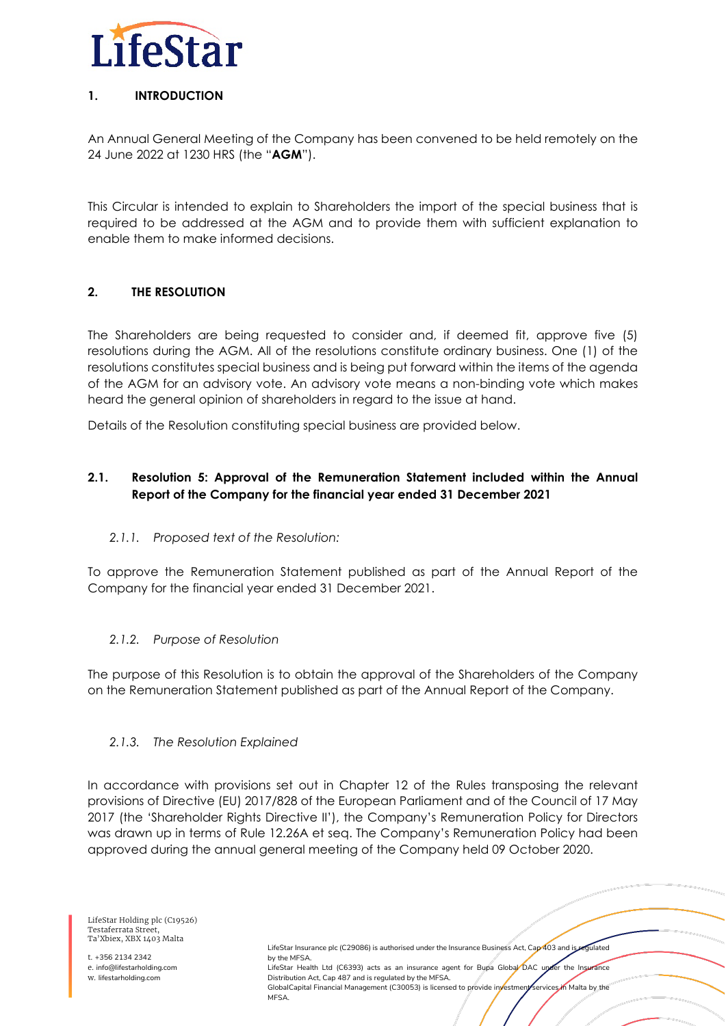

# **1. INTRODUCTION**

An Annual General Meeting of the Company has been convened to be held remotely on the 24 June 2022 at 1230 HRS (the "**AGM**").

This Circular is intended to explain to Shareholders the import of the special business that is required to be addressed at the AGM and to provide them with sufficient explanation to enable them to make informed decisions.

# **2. THE RESOLUTION**

The Shareholders are being requested to consider and, if deemed fit, approve five (5) resolutions during the AGM. All of the resolutions constitute ordinary business. One (1) of the resolutions constitutes special business and is being put forward within the items of the agenda of the AGM for an advisory vote. An advisory vote means a non-binding vote which makes heard the general opinion of shareholders in regard to the issue at hand.

Details of the Resolution constituting special business are provided below.

# **2.1. Resolution 5: Approval of the Remuneration Statement included within the Annual Report of the Company for the financial year ended 31 December 2021**

## *2.1.1. Proposed text of the Resolution:*

To approve the Remuneration Statement published as part of the Annual Report of the Company for the financial year ended 31 December 2021.

## *2.1.2. Purpose of Resolution*

The purpose of this Resolution is to obtain the approval of the Shareholders of the Company on the Remuneration Statement published as part of the Annual Report of the Company.

#### *2.1.3. The Resolution Explained*

In accordance with provisions set out in Chapter 12 of the Rules transposing the relevant provisions of Directive (EU) 2017/828 of the European Parliament and of the Council of 17 May 2017 (the 'Shareholder Rights Directive II'), the Company's Remuneration Policy for Directors was drawn up in terms of Rule 12.26A et seq. The Company's Remuneration Policy had been approved during the annual general meeting of the Company held 09 October 2020.

> LifeStar Insurance plc (C29086) is authorised under the Insurance Business Act, Cap 403 and is regulated by the MFSA. LifeStar Health Ltd (C6393) acts as an insurance agent for Bupa Global DAC under the Insurance Distribution Act, Cap 487 and is regulated by the MFSA. GlobalCapital Financial Management (C30053) is licensed to provide investment services in Malta by the **MFSA**

Testaferrata Street, Ta'Xbiex, XBX 1403 Malta t. +356 2134 2342

LifeStar Holding plc (C19526)

e. info@lifestarholding.com w. lifestarholding.com